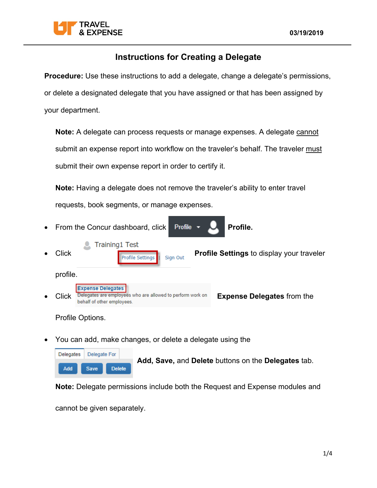

**Procedure:** Use these instructions to add a delegate, change a delegate's permissions, or delete a designated delegate that you have assigned or that has been assigned by your department.

Note: A delegate can process requests or manage expenses. A delegate cannot submit an expense report into workflow on the traveler's behalf. The traveler must submit their own expense report in order to certify it.

**Note:** Having a delegate does not remove the traveler's ability to enter travel requests, book segments, or manage expenses.

- From the Concur dashboard, click **Profile. Training1 Test Click Profile Settings Profile Settings** to display your traveler profile. **Expense Delegates** Click **Delegates are employees** who are allowed to perform work on **Expense Delegates** from the behalf of other employees. Profile Options.
- You can add, make changes, or delete a delegate using the

| Delegates  | Delegate For |             |  |               |
|------------|--------------|-------------|--|---------------|
| <b>Add</b> |              | <b>Save</b> |  | <b>Delete</b> |

**Add, Save,** and **Delete** buttons on the **Delegates** tab.

**Note:** Delegate permissions include both the Request and Expense modules and

cannot be given separately.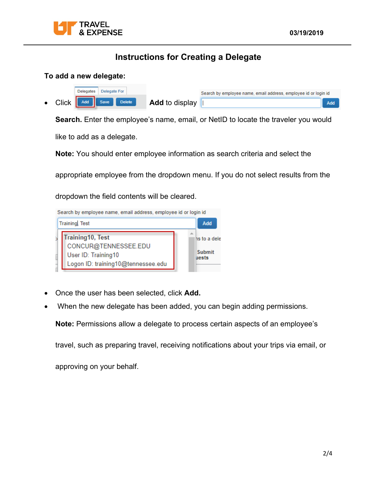

### **To add a new delegate:**

|  | Delegates Delegate For |  |                | Search by employee name, email address, employee id or login id |     |  |  |
|--|------------------------|--|----------------|-----------------------------------------------------------------|-----|--|--|
|  | Click 4dd save Delete  |  | Add to display |                                                                 | Add |  |  |

**Search.** Enter the employee's name, email, or NetID to locate the traveler you would

like to add as a delegate.

**Note:** You should enter employee information as search criteria and select the

appropriate employee from the dropdown menu. If you do not select results from the

dropdown the field contents will be cleared.



- Once the user has been selected, click **Add.**
- When the new delegate has been added, you can begin adding permissions.

**Note:** Permissions allow a delegate to process certain aspects of an employee's

travel, such as preparing travel, receiving notifications about your trips via email, or

approving on your behalf.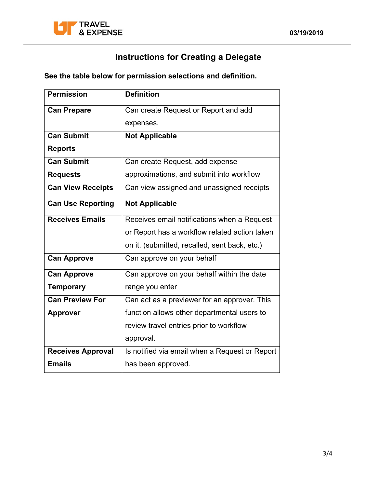

**See the table below for permission selections and definition.** 

| <b>Permission</b>        | <b>Definition</b>                              |  |
|--------------------------|------------------------------------------------|--|
| <b>Can Prepare</b>       | Can create Request or Report and add           |  |
|                          | expenses.                                      |  |
| <b>Can Submit</b>        | <b>Not Applicable</b>                          |  |
| <b>Reports</b>           |                                                |  |
| <b>Can Submit</b>        | Can create Request, add expense                |  |
| <b>Requests</b>          | approximations, and submit into workflow       |  |
| <b>Can View Receipts</b> | Can view assigned and unassigned receipts      |  |
| <b>Can Use Reporting</b> | <b>Not Applicable</b>                          |  |
| <b>Receives Emails</b>   | Receives email notifications when a Request    |  |
|                          | or Report has a workflow related action taken  |  |
|                          | on it. (submitted, recalled, sent back, etc.)  |  |
| <b>Can Approve</b>       | Can approve on your behalf                     |  |
| <b>Can Approve</b>       | Can approve on your behalf within the date     |  |
| <b>Temporary</b>         | range you enter                                |  |
| <b>Can Preview For</b>   | Can act as a previewer for an approver. This   |  |
| <b>Approver</b>          | function allows other departmental users to    |  |
|                          | review travel entries prior to workflow        |  |
|                          | approval.                                      |  |
| <b>Receives Approval</b> | Is notified via email when a Request or Report |  |
| <b>Emails</b>            | has been approved.                             |  |